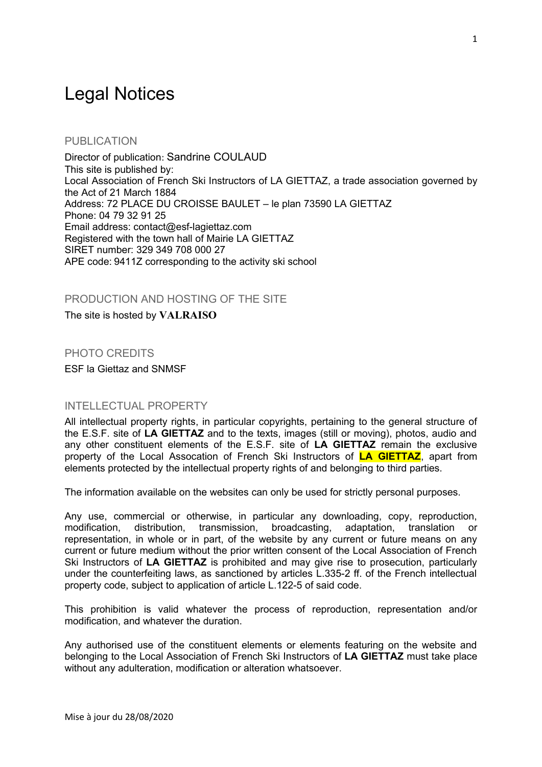# Legal Notices

## PUBLICATION

Director of publication: Sandrine COULAUD This site is published by: Local Association of French Ski Instructors of LA GIETTAZ, a trade association governed by the Act of 21 March 1884 Address: 72 PLACE DU CROISSE BAULET – le plan 73590 LA GIETTAZ Phone: 04 79 32 91 25 Email address: contact@esf-lagiettaz.com Registered with the town hall of Mairie LA GIETTAZ SIRET number: 329 349 708 000 27 APE code: 9411Z corresponding to the activity ski school

### PRODUCTION AND HOSTING OF THE SITE

The site is hosted by **VALRAISO**

### PHOTO CREDITS

ESF la Giettaz and SNMSF

#### INTELLECTUAL PROPERTY

All intellectual property rights, in particular copyrights, pertaining to the general structure of the E.S.F. site of **LA GIETTAZ** and to the texts, images (still or moving), photos, audio and any other constituent elements of the E.S.F. site of **LA GIETTAZ** remain the exclusive property of the Local Assocation of French Ski Instructors of **LA GIETTAZ**, apart from elements protected by the intellectual property rights of and belonging to third parties.

The information available on the websites can only be used for strictly personal purposes.

Any use, commercial or otherwise, in particular any downloading, copy, reproduction, modification, distribution, transmission, broadcasting, adaptation, translation or representation, in whole or in part, of the website by any current or future means on any current or future medium without the prior written consent of the Local Association of French Ski Instructors of **LA GIETTAZ** is prohibited and may give rise to prosecution, particularly under the counterfeiting laws, as sanctioned by articles L.335-2 ff. of the French intellectual property code, subject to application of article L.122-5 of said code.

This prohibition is valid whatever the process of reproduction, representation and/or modification, and whatever the duration.

Any authorised use of the constituent elements or elements featuring on the website and belonging to the Local Association of French Ski Instructors of **LA GIETTAZ** must take place without any adulteration, modification or alteration whatsoever.